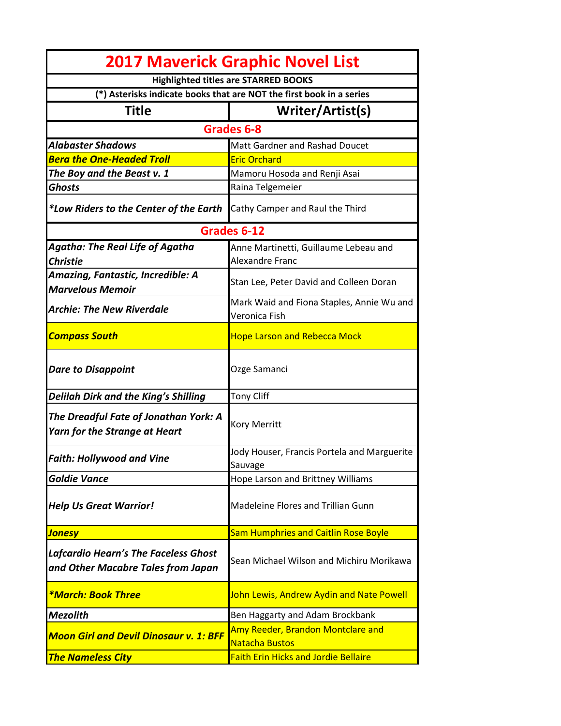| <b>2017 Maverick Graphic Novel List</b>                                       |                                                                 |
|-------------------------------------------------------------------------------|-----------------------------------------------------------------|
|                                                                               | <b>Highlighted titles are STARRED BOOKS</b>                     |
| (*) Asterisks indicate books that are NOT the first book in a series          |                                                                 |
| Title                                                                         | Writer/Artist(s)                                                |
| Grades 6-8                                                                    |                                                                 |
| <b>Alabaster Shadows</b>                                                      | Matt Gardner and Rashad Doucet                                  |
| <b>Bera the One-Headed Troll</b>                                              | <b>Eric Orchard</b>                                             |
| The Boy and the Beast v. 1                                                    | Mamoru Hosoda and Renji Asai                                    |
| <b>Ghosts</b>                                                                 | Raina Telgemeier                                                |
| *Low Riders to the Center of the Earth                                        | Cathy Camper and Raul the Third                                 |
| Grades 6-12                                                                   |                                                                 |
| <b>Agatha: The Real Life of Agatha</b><br><b>Christie</b>                     | Anne Martinetti, Guillaume Lebeau and<br><b>Alexandre Franc</b> |
| Amazing, Fantastic, Incredible: A<br><b>Marvelous Memoir</b>                  | Stan Lee, Peter David and Colleen Doran                         |
| <b>Archie: The New Riverdale</b>                                              | Mark Waid and Fiona Staples, Annie Wu and<br>Veronica Fish      |
| <b>Compass South</b>                                                          | <b>Hope Larson and Rebecca Mock</b>                             |
| <b>Dare to Disappoint</b>                                                     | Ozge Samanci                                                    |
| Delilah Dirk and the King's Shilling                                          | <b>Tony Cliff</b>                                               |
| The Dreadful Fate of Jonathan York: A<br><b>Yarn for the Strange at Heart</b> | Kory Merritt                                                    |
| <b>Faith: Hollywood and Vine</b>                                              | Jody Houser, Francis Portela and Marguerite                     |
|                                                                               | Sauvage                                                         |
| <b>Goldie Vance</b>                                                           | Hope Larson and Brittney Williams                               |
| <b>Help Us Great Warrior!</b>                                                 | Madeleine Flores and Trillian Gunn                              |
| <mark>Jonesy</mark>                                                           | <b>Sam Humphries and Caitlin Rose Boyle</b>                     |
| Lafcardio Hearn's The Faceless Ghost<br>and Other Macabre Tales from Japan    | Sean Michael Wilson and Michiru Morikawa                        |
| <i><b>*March: Book Three</b></i>                                              | John Lewis, Andrew Aydin and Nate Powell                        |
| <b>Mezolith</b>                                                               | Ben Haggarty and Adam Brockbank                                 |
| <b>Moon Girl and Devil Dinosaur v. 1: BFF</b>                                 | Amy Reeder, Brandon Montclare and<br><b>Natacha Bustos</b>      |
| <b>The Nameless City</b>                                                      | <b>Faith Erin Hicks and Jordie Bellaire</b>                     |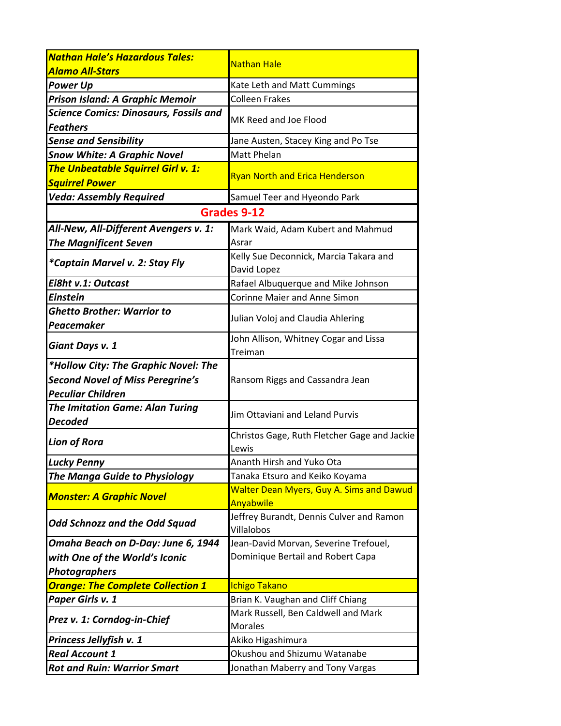| <b>Nathan Hale's Hazardous Tales:</b>                            | <b>Nathan Hale</b>                                    |
|------------------------------------------------------------------|-------------------------------------------------------|
| Alamo All-Stars                                                  |                                                       |
| <b>Power Up</b>                                                  | Kate Leth and Matt Cummings                           |
| Prison Island: A Graphic Memoir                                  | <b>Colleen Frakes</b>                                 |
| <b>Science Comics: Dinosaurs, Fossils and</b><br><b>Feathers</b> | MK Reed and Joe Flood                                 |
| <b>Sense and Sensibility</b>                                     | Jane Austen, Stacey King and Po Tse                   |
| <b>Snow White: A Graphic Novel</b>                               | <b>Matt Phelan</b>                                    |
| <b>The Unbeatable Squirrel Girl v. 1:</b>                        | <b>Ryan North and Erica Henderson</b>                 |
| <b>Squirrel Power</b>                                            |                                                       |
| <b>Veda: Assembly Required</b>                                   | Samuel Teer and Hyeondo Park                          |
| Grades 9-12                                                      |                                                       |
| All-New, All-Different Avengers v. 1:                            | Mark Waid, Adam Kubert and Mahmud                     |
| <b>The Magnificent Seven</b>                                     | Asrar                                                 |
| *Captain Marvel v. 2: Stay Fly                                   | Kelly Sue Deconnick, Marcia Takara and                |
|                                                                  | David Lopez                                           |
| Ei8ht v.1: Outcast                                               | Rafael Albuquerque and Mike Johnson                   |
| <b>Einstein</b>                                                  | <b>Corinne Maier and Anne Simon</b>                   |
| <b>Ghetto Brother: Warrior to</b><br>Peacemaker                  | Julian Voloj and Claudia Ahlering                     |
| Giant Days v. 1                                                  | John Allison, Whitney Cogar and Lissa                 |
|                                                                  | Treiman                                               |
| *Hollow City: The Graphic Novel: The                             |                                                       |
| <b>Second Novel of Miss Peregrine's</b>                          | Ransom Riggs and Cassandra Jean                       |
| <b>Peculiar Children</b>                                         |                                                       |
| <b>The Imitation Game: Alan Turing</b><br><b>Decoded</b>         | Jim Ottaviani and Leland Purvis                       |
| <b>Lion of Rora</b>                                              | Christos Gage, Ruth Fletcher Gage and Jackie          |
|                                                                  | Lewis                                                 |
| <b>Lucky Penny</b>                                               | Ananth Hirsh and Yuko Ota                             |
| <b>The Manga Guide to Physiology</b>                             | Tanaka Etsuro and Keiko Koyama                        |
| <b>Monster: A Graphic Novel</b>                                  | <b>Walter Dean Myers, Guy A. Sims and Dawud</b>       |
|                                                                  | Anyabwile<br>Jeffrey Burandt, Dennis Culver and Ramon |
| <b>Odd Schnozz and the Odd Squad</b>                             | Villalobos                                            |
| Omaha Beach on D-Day: June 6, 1944                               | Jean-David Morvan, Severine Trefouel,                 |
| with One of the World's Iconic                                   | Dominique Bertail and Robert Capa                     |
| <b>Photographers</b>                                             |                                                       |
| <b>Orange: The Complete Collection 1</b>                         | <b>Ichigo Takano</b>                                  |
| Paper Girls v. 1                                                 | Brian K. Vaughan and Cliff Chiang                     |
|                                                                  | Mark Russell, Ben Caldwell and Mark                   |
| Prez v. 1: Corndog-in-Chief                                      | <b>Morales</b>                                        |
| Princess Jellyfish v. 1                                          | Akiko Higashimura                                     |
| <b>Real Account 1</b>                                            | Okushou and Shizumu Watanabe                          |
| <b>Rot and Ruin: Warrior Smart</b>                               | Jonathan Maberry and Tony Vargas                      |